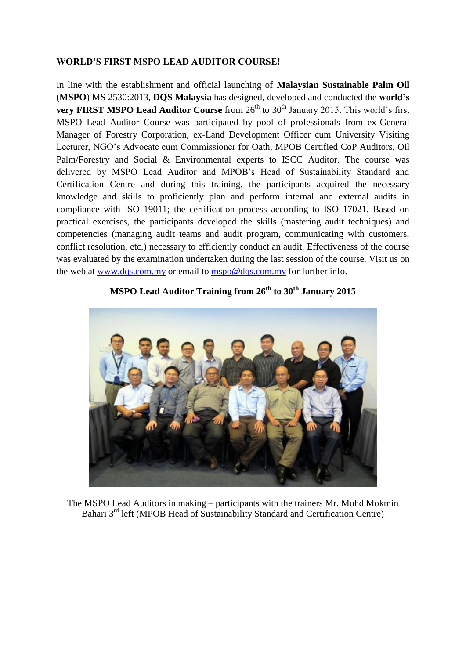## **WORLD'S FIRST MSPO LEAD AUDITOR COURSE!**

In line with the establishment and official launching of **Malaysian Sustainable Palm Oil** (**MSPO**) MS 2530:2013, **DQS Malaysia** has designed, developed and conducted the **world's very FIRST MSPO Lead Auditor Course** from 26<sup>th</sup> to 30<sup>th</sup> January 2015. This world's first MSPO Lead Auditor Course was participated by pool of professionals from ex-General Manager of Forestry Corporation, ex-Land Development Officer cum University Visiting Lecturer, NGO's Advocate cum Commissioner for Oath, MPOB Certified CoP Auditors, Oil Palm/Forestry and Social & Environmental experts to ISCC Auditor. The course was delivered by MSPO Lead Auditor and MPOB's Head of Sustainability Standard and Certification Centre and during this training, the participants acquired the necessary knowledge and skills to proficiently plan and perform internal and external audits in compliance with ISO 19011; the certification process according to ISO 17021. Based on practical exercises, the participants developed the skills (mastering audit techniques) and competencies (managing audit teams and audit program, communicating with customers, conflict resolution, etc.) necessary to efficiently conduct an audit. Effectiveness of the course was evaluated by the examination undertaken during the last session of the course. Visit us on the web at [www.dqs.com.my](http://www.dqs.com.my/) or email to [mspo@dqs.com.my](mailto:mspo@dqs.com.my) for further info.



## **MSPO Lead Auditor Training from 26th to 30th January 2015**

The MSPO Lead Auditors in making – participants with the trainers Mr. Mohd Mokmin Bahari 3<sup>rd</sup> left (MPOB Head of Sustainability Standard and Certification Centre)